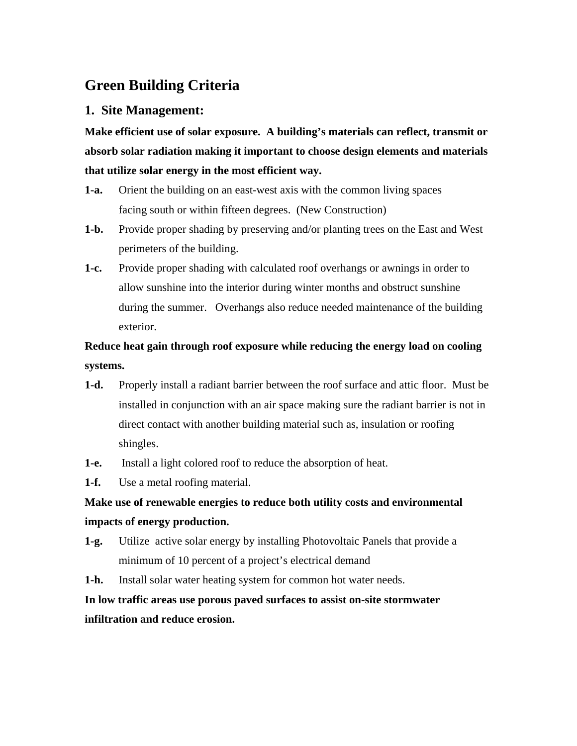# **Green Building Criteria**

#### **1. Site Management:**

**Make efficient use of solar exposure. A building's materials can reflect, transmit or absorb solar radiation making it important to choose design elements and materials that utilize solar energy in the most efficient way.** 

- **1-a.** Orient the building on an east-west axis with the common living spaces facing south or within fifteen degrees. (New Construction)
- **1-b.** Provide proper shading by preserving and/or planting trees on the East and West perimeters of the building.
- **1-c.** Provide proper shading with calculated roof overhangs or awnings in order to allow sunshine into the interior during winter months and obstruct sunshine during the summer. Overhangs also reduce needed maintenance of the building exterior.

# **Reduce heat gain through roof exposure while reducing the energy load on cooling systems.**

- **1-d.** Properly install a radiant barrier between the roof surface and attic floor. Must be installed in conjunction with an air space making sure the radiant barrier is not in direct contact with another building material such as, insulation or roofing shingles.
- **1-e.** Install a light colored roof to reduce the absorption of heat.
- **1-f.** Use a metal roofing material.

# **Make use of renewable energies to reduce both utility costs and environmental impacts of energy production.**

- **1-g.** Utilize active solar energy by installing Photovoltaic Panels that provide a minimum of 10 percent of a project's electrical demand
- **1-h.** Install solar water heating system for common hot water needs.

# **In low traffic areas use porous paved surfaces to assist on-site stormwater infiltration and reduce erosion.**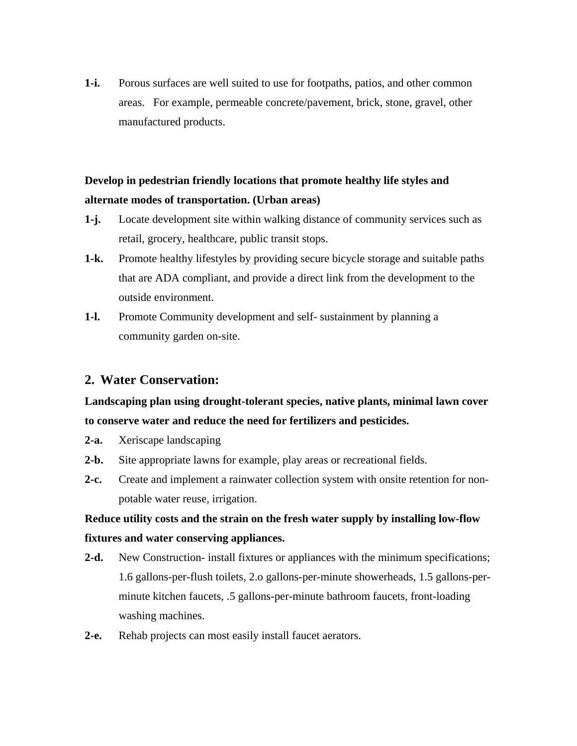**1-i.** Porous surfaces are well suited to use for footpaths, patios, and other common areas. For example, permeable concrete/pavement, brick, stone, gravel, other manufactured products.

## **Develop in pedestrian friendly locations that promote healthy life styles and alternate modes of transportation. (Urban areas)**

- **1-j.** Locate development site within walking distance of community services such as retail, grocery, healthcare, public transit stops.
- **1-k.** Promote healthy lifestyles by providing secure bicycle storage and suitable paths that are ADA compliant, and provide a direct link from the development to the outside environment.
- **1-l.** Promote Community development and self- sustainment by planning a community garden on-site.

### **2. Water Conservation:**

## **Landscaping plan using drought-tolerant species, native plants, minimal lawn cover to conserve water and reduce the need for fertilizers and pesticides.**

- **2-a.** Xeriscape landscaping
- **2-b.** Site appropriate lawns for example, play areas or recreational fields.
- **2-c.** Create and implement a rainwater collection system with onsite retention for nonpotable water reuse, irrigation.

# **Reduce utility costs and the strain on the fresh water supply by installing low-flow fixtures and water conserving appliances.**

- **2-d.** New Construction- install fixtures or appliances with the minimum specifications; 1.6 gallons-per-flush toilets, 2.o gallons-per-minute showerheads, 1.5 gallons-perminute kitchen faucets, .5 gallons-per-minute bathroom faucets, front-loading washing machines.
- **2-e.** Rehab projects can most easily install faucet aerators.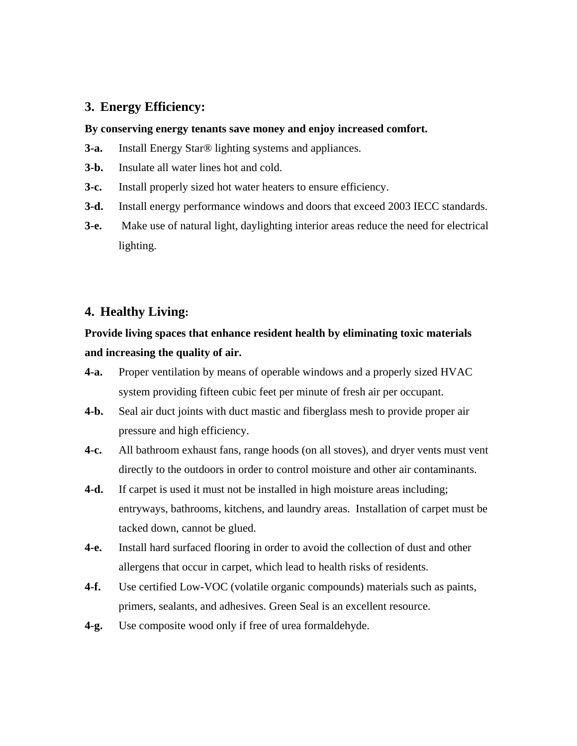#### **3. Energy Efficiency:**

#### **By conserving energy tenants save money and enjoy increased comfort.**

- **3-a.** Install Energy Star® lighting systems and appliances.
- **3-b.** Insulate all water lines hot and cold.
- **3-c.** Install properly sized hot water heaters to ensure efficiency.
- **3-d.** Install energy performance windows and doors that exceed 2003 IECC standards.
- **3-e.** Make use of natural light, daylighting interior areas reduce the need for electrical lighting.

#### **4. Healthy Living:**

## **Provide living spaces that enhance resident health by eliminating toxic materials and increasing the quality of air.**

- **4-a.** Proper ventilation by means of operable windows and a properly sized HVAC system providing fifteen cubic feet per minute of fresh air per occupant.
- **4-b.** Seal air duct joints with duct mastic and fiberglass mesh to provide proper air pressure and high efficiency.
- **4-c.** All bathroom exhaust fans, range hoods (on all stoves), and dryer vents must vent directly to the outdoors in order to control moisture and other air contaminants.
- **4-d.** If carpet is used it must not be installed in high moisture areas including; entryways, bathrooms, kitchens, and laundry areas. Installation of carpet must be tacked down, cannot be glued.
- **4-e.** Install hard surfaced flooring in order to avoid the collection of dust and other allergens that occur in carpet, which lead to health risks of residents.
- **4-f.** Use certified Low-VOC (volatile organic compounds) materials such as paints, primers, sealants, and adhesives. Green Seal is an excellent resource.
- **4-g.** Use composite wood only if free of urea formaldehyde.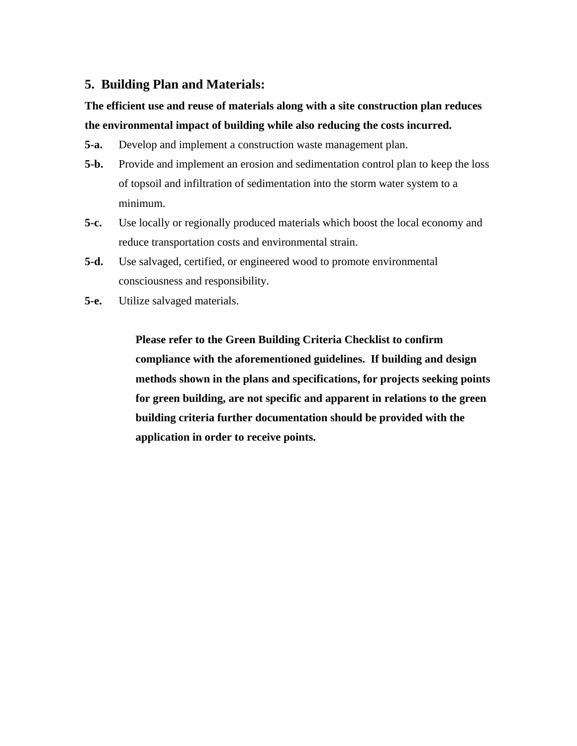### **5. Building Plan and Materials:**

# **The efficient use and reuse of materials along with a site construction plan reduces the environmental impact of building while also reducing the costs incurred.**

- **5-a.** Develop and implement a construction waste management plan.
- **5-b.** Provide and implement an erosion and sedimentation control plan to keep the loss of topsoil and infiltration of sedimentation into the storm water system to a minimum.
- **5-c.** Use locally or regionally produced materials which boost the local economy and reduce transportation costs and environmental strain.
- **5-d.** Use salvaged, certified, or engineered wood to promote environmental consciousness and responsibility.
- **5-e.** Utilize salvaged materials.

**Please refer to the Green Building Criteria Checklist to confirm compliance with the aforementioned guidelines. If building and design methods shown in the plans and specifications, for projects seeking points for green building, are not specific and apparent in relations to the green building criteria further documentation should be provided with the application in order to receive points.**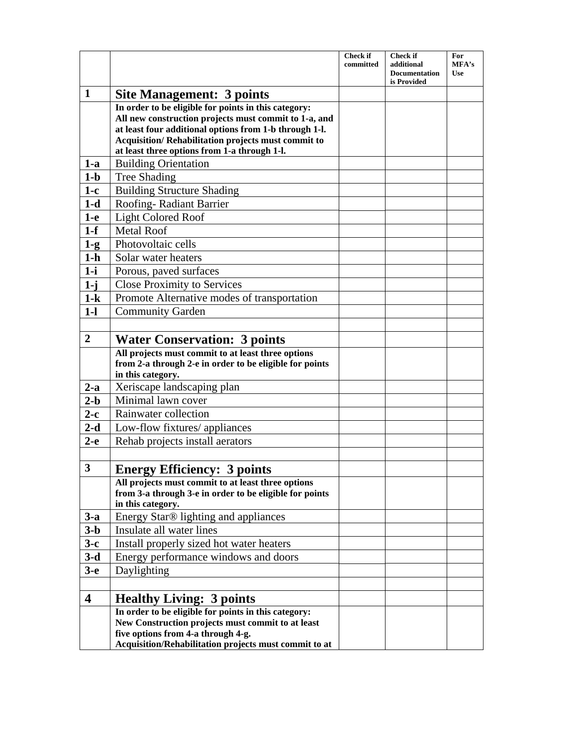|                         |                                                                                                                                                                                                                                                                               | <b>Check if</b><br>committed | <b>Check if</b><br>additional<br><b>Documentation</b> | For<br>MFA's<br>Use |
|-------------------------|-------------------------------------------------------------------------------------------------------------------------------------------------------------------------------------------------------------------------------------------------------------------------------|------------------------------|-------------------------------------------------------|---------------------|
|                         |                                                                                                                                                                                                                                                                               |                              | is Provided                                           |                     |
| $\mathbf{1}$            | <b>Site Management: 3 points</b>                                                                                                                                                                                                                                              |                              |                                                       |                     |
|                         | In order to be eligible for points in this category:<br>All new construction projects must commit to 1-a, and<br>at least four additional options from 1-b through 1-l.<br>Acquisition/Rehabilitation projects must commit to<br>at least three options from 1-a through 1-l. |                              |                                                       |                     |
| $1-a$                   | <b>Building Orientation</b>                                                                                                                                                                                                                                                   |                              |                                                       |                     |
| $1-b$                   | <b>Tree Shading</b>                                                                                                                                                                                                                                                           |                              |                                                       |                     |
| $1-c$                   | <b>Building Structure Shading</b>                                                                                                                                                                                                                                             |                              |                                                       |                     |
| $1-d$                   | Roofing-Radiant Barrier                                                                                                                                                                                                                                                       |                              |                                                       |                     |
| $1-e$                   | <b>Light Colored Roof</b>                                                                                                                                                                                                                                                     |                              |                                                       |                     |
| $1-f$                   | <b>Metal Roof</b>                                                                                                                                                                                                                                                             |                              |                                                       |                     |
| $1-g$                   | Photovoltaic cells                                                                                                                                                                                                                                                            |                              |                                                       |                     |
| $1-h$                   | Solar water heaters                                                                                                                                                                                                                                                           |                              |                                                       |                     |
| $1-i$                   | Porous, paved surfaces                                                                                                                                                                                                                                                        |                              |                                                       |                     |
| $1-j$                   | <b>Close Proximity to Services</b>                                                                                                                                                                                                                                            |                              |                                                       |                     |
| $1-k$                   | Promote Alternative modes of transportation                                                                                                                                                                                                                                   |                              |                                                       |                     |
| $1 - 1$                 | <b>Community Garden</b>                                                                                                                                                                                                                                                       |                              |                                                       |                     |
|                         |                                                                                                                                                                                                                                                                               |                              |                                                       |                     |
| $\boldsymbol{2}$        | <b>Water Conservation: 3 points</b>                                                                                                                                                                                                                                           |                              |                                                       |                     |
|                         | All projects must commit to at least three options<br>from 2-a through 2-e in order to be eligible for points<br>in this category.                                                                                                                                            |                              |                                                       |                     |
| $2-a$                   | Xeriscape landscaping plan                                                                                                                                                                                                                                                    |                              |                                                       |                     |
| $2-b$                   | Minimal lawn cover                                                                                                                                                                                                                                                            |                              |                                                       |                     |
| $2-c$                   | Rainwater collection                                                                                                                                                                                                                                                          |                              |                                                       |                     |
| $2-d$                   | Low-flow fixtures/ appliances                                                                                                                                                                                                                                                 |                              |                                                       |                     |
| $2-e$                   | Rehab projects install aerators                                                                                                                                                                                                                                               |                              |                                                       |                     |
|                         |                                                                                                                                                                                                                                                                               |                              |                                                       |                     |
| $\overline{\mathbf{3}}$ | <b>Energy Efficiency: 3 points</b>                                                                                                                                                                                                                                            |                              |                                                       |                     |
|                         | All projects must commit to at least three options<br>from 3-a through 3-e in order to be eligible for points<br>in this category.                                                                                                                                            |                              |                                                       |                     |
| $3-a$                   | Energy Star® lighting and appliances                                                                                                                                                                                                                                          |                              |                                                       |                     |
| $3-b$                   | Insulate all water lines                                                                                                                                                                                                                                                      |                              |                                                       |                     |
| $3-c$                   | Install properly sized hot water heaters                                                                                                                                                                                                                                      |                              |                                                       |                     |
| $3-d$                   | Energy performance windows and doors                                                                                                                                                                                                                                          |                              |                                                       |                     |
| $3-e$                   | Daylighting                                                                                                                                                                                                                                                                   |                              |                                                       |                     |
|                         |                                                                                                                                                                                                                                                                               |                              |                                                       |                     |
| $\overline{\mathbf{4}}$ | <b>Healthy Living: 3 points</b>                                                                                                                                                                                                                                               |                              |                                                       |                     |
|                         | In order to be eligible for points in this category:<br>New Construction projects must commit to at least<br>five options from 4-a through 4-g.<br>Acquisition/Rehabilitation projects must commit to at                                                                      |                              |                                                       |                     |